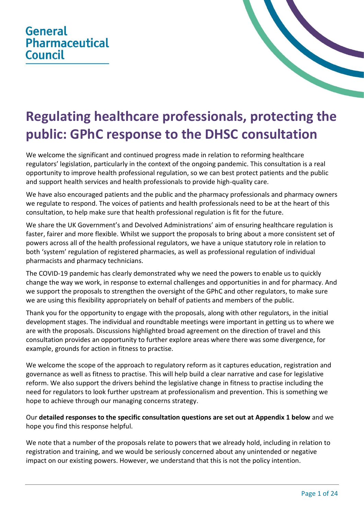## **General Pharmaceutical Council**



## **Regulating healthcare professionals, protecting the public: GPhC response to the DHSC consultation**

We welcome the significant and continued progress made in relation to reforming healthcare regulators' legislation, particularly in the context of the ongoing pandemic. This consultation is a real opportunity to improve health professional regulation, so we can best protect patients and the public and support health services and health professionals to provide high-quality care.

We have also encouraged patients and the public and the pharmacy professionals and pharmacy owners we regulate to respond. The voices of patients and health professionals need to be at the heart of this consultation, to help make sure that health professional regulation is fit for the future.

We share the UK Government's and Devolved Administrations' aim of ensuring healthcare regulation is faster, fairer and more flexible. Whilst we support the proposals to bring about a more consistent set of powers across all of the health professional regulators, we have a unique statutory role in relation to both 'system' regulation of registered pharmacies, as well as professional regulation of individual pharmacists and pharmacy technicians.

The COVID-19 pandemic has clearly demonstrated why we need the powers to enable us to quickly change the way we work, in response to external challenges and opportunities in and for pharmacy. And we support the proposals to strengthen the oversight of the GPhC and other regulators, to make sure we are using this flexibility appropriately on behalf of patients and members of the public.

Thank you for the opportunity to engage with the proposals, along with other regulators, in the initial development stages. The individual and roundtable meetings were important in getting us to where we are with the proposals. Discussions highlighted broad agreement on the direction of travel and this consultation provides an opportunity to further explore areas where there was some divergence, for example, grounds for action in fitness to practise.

We welcome the scope of the approach to regulatory reform as it captures education, registration and governance as well as fitness to practise. This will help build a clear narrative and case for legislative reform. We also support the drivers behind the legislative change in fitness to practise including the need for regulators to look further upstream at professionalism and prevention. This is something we hope to achieve through our managing concerns strategy.

## Our **detailed responses to the specific consultation questions are set out at Appendix 1 below** and we hope you find this response helpful.

We note that a number of the proposals relate to powers that we already hold, including in relation to registration and training, and we would be seriously concerned about any unintended or negative impact on our existing powers. However, we understand that this is not the policy intention.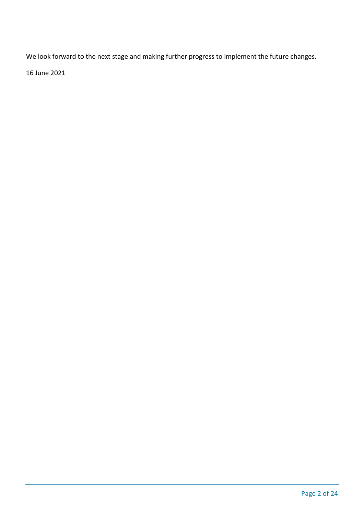We look forward to the next stage and making further progress to implement the future changes.

16 June 2021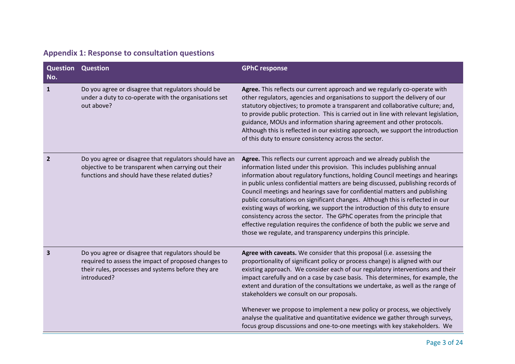| Question<br>No. | <b>Question</b>                                                                                                                                                                 | <b>GPhC response</b>                                                                                                                                                                                                                                                                                                                                                                                                                                                                                                                                                                                                                                                                                                                                                                               |
|-----------------|---------------------------------------------------------------------------------------------------------------------------------------------------------------------------------|----------------------------------------------------------------------------------------------------------------------------------------------------------------------------------------------------------------------------------------------------------------------------------------------------------------------------------------------------------------------------------------------------------------------------------------------------------------------------------------------------------------------------------------------------------------------------------------------------------------------------------------------------------------------------------------------------------------------------------------------------------------------------------------------------|
| 1               | Do you agree or disagree that regulators should be<br>under a duty to co-operate with the organisations set<br>out above?                                                       | Agree. This reflects our current approach and we regularly co-operate with<br>other regulators, agencies and organisations to support the delivery of our<br>statutory objectives; to promote a transparent and collaborative culture; and,<br>to provide public protection. This is carried out in line with relevant legislation,<br>guidance, MOUs and information sharing agreement and other protocols.<br>Although this is reflected in our existing approach, we support the introduction<br>of this duty to ensure consistency across the sector.                                                                                                                                                                                                                                          |
| $\overline{2}$  | Do you agree or disagree that regulators should have an<br>objective to be transparent when carrying out their<br>functions and should have these related duties?               | Agree. This reflects our current approach and we already publish the<br>information listed under this provision. This includes publishing annual<br>information about regulatory functions, holding Council meetings and hearings<br>in public unless confidential matters are being discussed, publishing records of<br>Council meetings and hearings save for confidential matters and publishing<br>public consultations on significant changes. Although this is reflected in our<br>existing ways of working, we support the introduction of this duty to ensure<br>consistency across the sector. The GPhC operates from the principle that<br>effective regulation requires the confidence of both the public we serve and<br>those we regulate, and transparency underpins this principle. |
| 3               | Do you agree or disagree that regulators should be<br>required to assess the impact of proposed changes to<br>their rules, processes and systems before they are<br>introduced? | Agree with caveats. We consider that this proposal (i.e. assessing the<br>proportionality of significant policy or process change) is aligned with our<br>existing approach. We consider each of our regulatory interventions and their<br>impact carefully and on a case by case basis. This determines, for example, the<br>extent and duration of the consultations we undertake, as well as the range of<br>stakeholders we consult on our proposals.<br>Whenever we propose to implement a new policy or process, we objectively<br>analyse the qualitative and quantitative evidence we gather through surveys,<br>focus group discussions and one-to-one meetings with key stakeholders. We                                                                                                 |

## **Appendix 1: Response to consultation questions**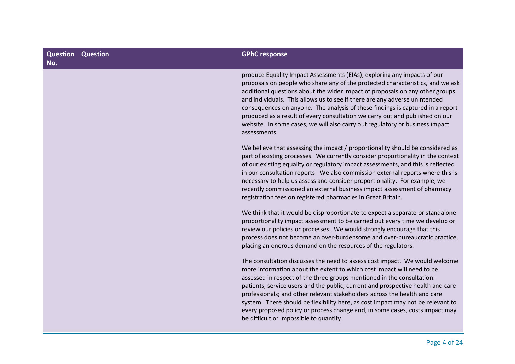| Question<br>No. | <b>Question</b> | <b>GPhC response</b>                                                                                                                                                                                                                                                                                                                                                                                                                                                                                                                                                                                          |
|-----------------|-----------------|---------------------------------------------------------------------------------------------------------------------------------------------------------------------------------------------------------------------------------------------------------------------------------------------------------------------------------------------------------------------------------------------------------------------------------------------------------------------------------------------------------------------------------------------------------------------------------------------------------------|
|                 |                 | produce Equality Impact Assessments (EIAs), exploring any impacts of our<br>proposals on people who share any of the protected characteristics, and we ask<br>additional questions about the wider impact of proposals on any other groups<br>and individuals. This allows us to see if there are any adverse unintended<br>consequences on anyone. The analysis of these findings is captured in a report<br>produced as a result of every consultation we carry out and published on our<br>website. In some cases, we will also carry out regulatory or business impact<br>assessments.                    |
|                 |                 | We believe that assessing the impact / proportionality should be considered as<br>part of existing processes. We currently consider proportionality in the context<br>of our existing equality or regulatory impact assessments, and this is reflected<br>in our consultation reports. We also commission external reports where this is<br>necessary to help us assess and consider proportionality. For example, we<br>recently commissioned an external business impact assessment of pharmacy<br>registration fees on registered pharmacies in Great Britain.                                             |
|                 |                 | We think that it would be disproportionate to expect a separate or standalone<br>proportionality impact assessment to be carried out every time we develop or<br>review our policies or processes. We would strongly encourage that this<br>process does not become an over-burdensome and over-bureaucratic practice,<br>placing an onerous demand on the resources of the regulators.                                                                                                                                                                                                                       |
|                 |                 | The consultation discusses the need to assess cost impact. We would welcome<br>more information about the extent to which cost impact will need to be<br>assessed in respect of the three groups mentioned in the consultation:<br>patients, service users and the public; current and prospective health and care<br>professionals; and other relevant stakeholders across the health and care<br>system. There should be flexibility here, as cost impact may not be relevant to<br>every proposed policy or process change and, in some cases, costs impact may<br>be difficult or impossible to quantify. |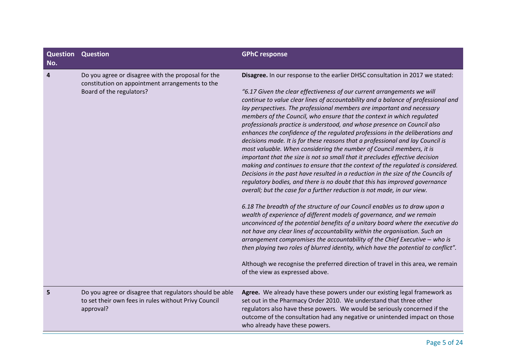| Question<br>No. | <b>Question</b>                                                                                                                   | <b>GPhC response</b>                                                                                                                                                                                                                                                                                                                                                                                                                                                                                                                                                                                                                                                                                                                                                                                                                                                                                                                                                                                                                                                                                                                                                                                                                                                                                                                                                                                                                                                                                                                                                                                                                                                                                                                                         |
|-----------------|-----------------------------------------------------------------------------------------------------------------------------------|--------------------------------------------------------------------------------------------------------------------------------------------------------------------------------------------------------------------------------------------------------------------------------------------------------------------------------------------------------------------------------------------------------------------------------------------------------------------------------------------------------------------------------------------------------------------------------------------------------------------------------------------------------------------------------------------------------------------------------------------------------------------------------------------------------------------------------------------------------------------------------------------------------------------------------------------------------------------------------------------------------------------------------------------------------------------------------------------------------------------------------------------------------------------------------------------------------------------------------------------------------------------------------------------------------------------------------------------------------------------------------------------------------------------------------------------------------------------------------------------------------------------------------------------------------------------------------------------------------------------------------------------------------------------------------------------------------------------------------------------------------------|
| 4               | Do you agree or disagree with the proposal for the<br>constitution on appointment arrangements to the<br>Board of the regulators? | Disagree. In our response to the earlier DHSC consultation in 2017 we stated:<br>"6.17 Given the clear effectiveness of our current arrangements we will<br>continue to value clear lines of accountability and a balance of professional and<br>lay perspectives. The professional members are important and necessary<br>members of the Council, who ensure that the context in which regulated<br>professionals practice is understood, and whose presence on Council also<br>enhances the confidence of the regulated professions in the deliberations and<br>decisions made. It is for these reasons that a professional and lay Council is<br>most valuable. When considering the number of Council members, it is<br>important that the size is not so small that it precludes effective decision<br>making and continues to ensure that the context of the regulated is considered.<br>Decisions in the past have resulted in a reduction in the size of the Councils of<br>regulatory bodies, and there is no doubt that this has improved governance<br>overall; but the case for a further reduction is not made, in our view.<br>6.18 The breadth of the structure of our Council enables us to draw upon a<br>wealth of experience of different models of governance, and we remain<br>unconvinced of the potential benefits of a unitary board where the executive do<br>not have any clear lines of accountability within the organisation. Such an<br>arrangement compromises the accountability of the Chief Executive - who is<br>then playing two roles of blurred identity, which have the potential to conflict".<br>Although we recognise the preferred direction of travel in this area, we remain<br>of the view as expressed above. |
| 5               | Do you agree or disagree that regulators should be able<br>to set their own fees in rules without Privy Council<br>approval?      | Agree. We already have these powers under our existing legal framework as<br>set out in the Pharmacy Order 2010. We understand that three other<br>regulators also have these powers. We would be seriously concerned if the<br>outcome of the consultation had any negative or unintended impact on those<br>who already have these powers.                                                                                                                                                                                                                                                                                                                                                                                                                                                                                                                                                                                                                                                                                                                                                                                                                                                                                                                                                                                                                                                                                                                                                                                                                                                                                                                                                                                                                 |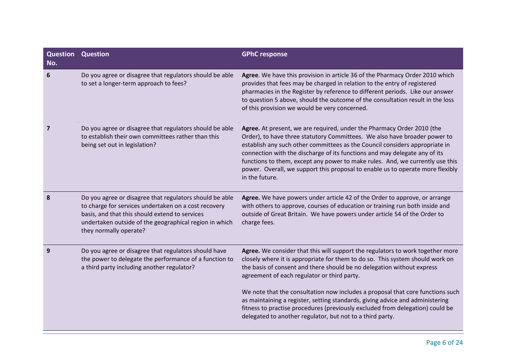| <b>Question Question</b>                                                                                                                                                                                                                              | <b>GPhC response</b>                                                                                                                                                                                                                                                                                                                                                                                                                                                                                                                                                                                      |
|-------------------------------------------------------------------------------------------------------------------------------------------------------------------------------------------------------------------------------------------------------|-----------------------------------------------------------------------------------------------------------------------------------------------------------------------------------------------------------------------------------------------------------------------------------------------------------------------------------------------------------------------------------------------------------------------------------------------------------------------------------------------------------------------------------------------------------------------------------------------------------|
| Do you agree or disagree that regulators should be able<br>to set a longer-term approach to fees?                                                                                                                                                     | Agree. We have this provision in article 36 of the Pharmacy Order 2010 which<br>provides that fees may be charged in relation to the entry of registered<br>pharmacies in the Register by reference to different periods. Like our answer<br>to question 5 above, should the outcome of the consultation result in the loss<br>of this provision we would be very concerned.                                                                                                                                                                                                                              |
| Do you agree or disagree that regulators should be able<br>to establish their own committees rather than this<br>being set out in legislation?                                                                                                        | Agree. At present, we are required, under the Pharmacy Order 2010 (the<br>Order), to have three statutory Committees. We also have broader power to<br>establish any such other committees as the Council considers appropriate in<br>connection with the discharge of its functions and may delegate any of its<br>functions to them, except any power to make rules. And, we currently use this<br>power. Overall, we support this proposal to enable us to operate more flexibly<br>in the future.                                                                                                     |
| Do you agree or disagree that regulators should be able<br>to charge for services undertaken on a cost recovery<br>basis, and that this should extend to services<br>undertaken outside of the geographical region in which<br>they normally operate? | Agree. We have powers under article 42 of the Order to approve, or arrange<br>with others to approve, courses of education or training run both inside and<br>outside of Great Britain. We have powers under article 54 of the Order to<br>charge fees.                                                                                                                                                                                                                                                                                                                                                   |
| Do you agree or disagree that regulators should have<br>the power to delegate the performance of a function to<br>a third party including another regulator?                                                                                          | Agree. We consider that this will support the regulators to work together more<br>closely where it is appropriate for them to do so. This system should work on<br>the basis of consent and there should be no delegation without express<br>agreement of each regulator or third party.<br>We note that the consultation now includes a proposal that core functions such<br>as maintaining a register, setting standards, giving advice and administering<br>fitness to practise procedures (previously excluded from delegation) could be<br>delegated to another regulator, but not to a third party. |
|                                                                                                                                                                                                                                                       |                                                                                                                                                                                                                                                                                                                                                                                                                                                                                                                                                                                                           |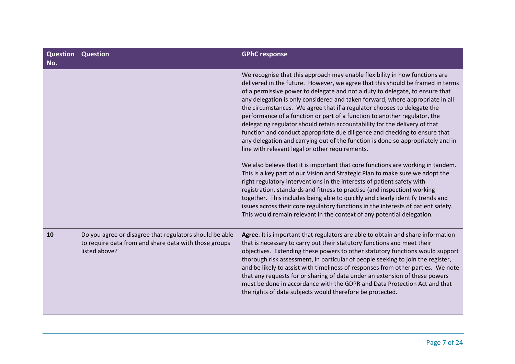| <b>Question Question</b><br>No. |                                                                                                                                   | <b>GPhC response</b>                                                                                                                                                                                                                                                                                                                                                                                                                                                                                                                                                                                                                                                                                                                                                                                                                                                                                                                                                                                                                                                                                                                                                                                                                                                                                                                                               |
|---------------------------------|-----------------------------------------------------------------------------------------------------------------------------------|--------------------------------------------------------------------------------------------------------------------------------------------------------------------------------------------------------------------------------------------------------------------------------------------------------------------------------------------------------------------------------------------------------------------------------------------------------------------------------------------------------------------------------------------------------------------------------------------------------------------------------------------------------------------------------------------------------------------------------------------------------------------------------------------------------------------------------------------------------------------------------------------------------------------------------------------------------------------------------------------------------------------------------------------------------------------------------------------------------------------------------------------------------------------------------------------------------------------------------------------------------------------------------------------------------------------------------------------------------------------|
|                                 |                                                                                                                                   | We recognise that this approach may enable flexibility in how functions are<br>delivered in the future. However, we agree that this should be framed in terms<br>of a permissive power to delegate and not a duty to delegate, to ensure that<br>any delegation is only considered and taken forward, where appropriate in all<br>the circumstances. We agree that if a regulator chooses to delegate the<br>performance of a function or part of a function to another regulator, the<br>delegating regulator should retain accountability for the delivery of that<br>function and conduct appropriate due diligence and checking to ensure that<br>any delegation and carrying out of the function is done so appropriately and in<br>line with relevant legal or other requirements.<br>We also believe that it is important that core functions are working in tandem.<br>This is a key part of our Vision and Strategic Plan to make sure we adopt the<br>right regulatory interventions in the interests of patient safety with<br>registration, standards and fitness to practise (and inspection) working<br>together. This includes being able to quickly and clearly identify trends and<br>issues across their core regulatory functions in the interests of patient safety.<br>This would remain relevant in the context of any potential delegation. |
| 10                              | Do you agree or disagree that regulators should be able<br>to require data from and share data with those groups<br>listed above? | Agree. It is important that regulators are able to obtain and share information<br>that is necessary to carry out their statutory functions and meet their<br>objectives. Extending these powers to other statutory functions would support<br>thorough risk assessment, in particular of people seeking to join the register,<br>and be likely to assist with timeliness of responses from other parties. We note<br>that any requests for or sharing of data under an extension of these powers<br>must be done in accordance with the GDPR and Data Protection Act and that<br>the rights of data subjects would therefore be protected.                                                                                                                                                                                                                                                                                                                                                                                                                                                                                                                                                                                                                                                                                                                        |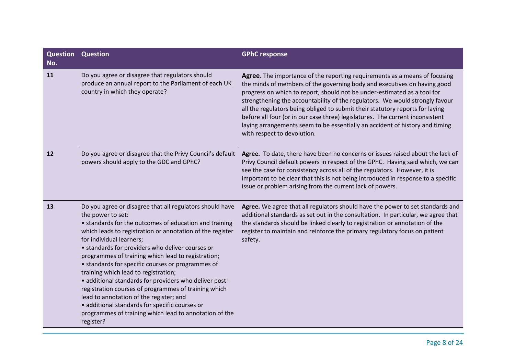| <b>Question Question</b><br>No. |                                                                                                                                                                                                                                                                                                                                                                                                                                                                                                                                                                                                                                                                                                                               | <b>GPhC response</b>                                                                                                                                                                                                                                                                                                                                                                                                                                                                                                                                                                                |
|---------------------------------|-------------------------------------------------------------------------------------------------------------------------------------------------------------------------------------------------------------------------------------------------------------------------------------------------------------------------------------------------------------------------------------------------------------------------------------------------------------------------------------------------------------------------------------------------------------------------------------------------------------------------------------------------------------------------------------------------------------------------------|-----------------------------------------------------------------------------------------------------------------------------------------------------------------------------------------------------------------------------------------------------------------------------------------------------------------------------------------------------------------------------------------------------------------------------------------------------------------------------------------------------------------------------------------------------------------------------------------------------|
| 11                              | Do you agree or disagree that regulators should<br>produce an annual report to the Parliament of each UK<br>country in which they operate?                                                                                                                                                                                                                                                                                                                                                                                                                                                                                                                                                                                    | Agree. The importance of the reporting requirements as a means of focusing<br>the minds of members of the governing body and executives on having good<br>progress on which to report, should not be under-estimated as a tool for<br>strengthening the accountability of the regulators. We would strongly favour<br>all the regulators being obliged to submit their statutory reports for laying<br>before all four (or in our case three) legislatures. The current inconsistent<br>laying arrangements seem to be essentially an accident of history and timing<br>with respect to devolution. |
| 12                              | Do you agree or disagree that the Privy Council's default<br>powers should apply to the GDC and GPhC?                                                                                                                                                                                                                                                                                                                                                                                                                                                                                                                                                                                                                         | Agree. To date, there have been no concerns or issues raised about the lack of<br>Privy Council default powers in respect of the GPhC. Having said which, we can<br>see the case for consistency across all of the regulators. However, it is<br>important to be clear that this is not being introduced in response to a specific<br>issue or problem arising from the current lack of powers.                                                                                                                                                                                                     |
| 13                              | Do you agree or disagree that all regulators should have<br>the power to set:<br>• standards for the outcomes of education and training<br>which leads to registration or annotation of the register<br>for individual learners;<br>• standards for providers who deliver courses or<br>programmes of training which lead to registration;<br>• standards for specific courses or programmes of<br>training which lead to registration;<br>• additional standards for providers who deliver post-<br>registration courses of programmes of training which<br>lead to annotation of the register; and<br>· additional standards for specific courses or<br>programmes of training which lead to annotation of the<br>register? | Agree. We agree that all regulators should have the power to set standards and<br>additional standards as set out in the consultation. In particular, we agree that<br>the standards should be linked clearly to registration or annotation of the<br>register to maintain and reinforce the primary regulatory focus on patient<br>safety.                                                                                                                                                                                                                                                         |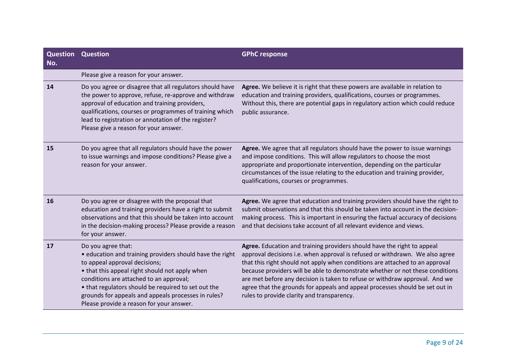| Question<br>No. | <b>Question</b>                                                                                                                                                                                                                                                                                                                                                        | <b>GPhC response</b>                                                                                                                                                                                                                                                                                                                                                                                                                                                                                                                  |
|-----------------|------------------------------------------------------------------------------------------------------------------------------------------------------------------------------------------------------------------------------------------------------------------------------------------------------------------------------------------------------------------------|---------------------------------------------------------------------------------------------------------------------------------------------------------------------------------------------------------------------------------------------------------------------------------------------------------------------------------------------------------------------------------------------------------------------------------------------------------------------------------------------------------------------------------------|
|                 | Please give a reason for your answer.                                                                                                                                                                                                                                                                                                                                  |                                                                                                                                                                                                                                                                                                                                                                                                                                                                                                                                       |
| 14              | Do you agree or disagree that all regulators should have<br>the power to approve, refuse, re-approve and withdraw<br>approval of education and training providers,<br>qualifications, courses or programmes of training which<br>lead to registration or annotation of the register?<br>Please give a reason for your answer.                                          | Agree. We believe it is right that these powers are available in relation to<br>education and training providers, qualifications, courses or programmes.<br>Without this, there are potential gaps in regulatory action which could reduce<br>public assurance.                                                                                                                                                                                                                                                                       |
| 15              | Do you agree that all regulators should have the power<br>to issue warnings and impose conditions? Please give a<br>reason for your answer.                                                                                                                                                                                                                            | Agree. We agree that all regulators should have the power to issue warnings<br>and impose conditions. This will allow regulators to choose the most<br>appropriate and proportionate intervention, depending on the particular<br>circumstances of the issue relating to the education and training provider,<br>qualifications, courses or programmes.                                                                                                                                                                               |
| 16              | Do you agree or disagree with the proposal that<br>education and training providers have a right to submit<br>observations and that this should be taken into account<br>in the decision-making process? Please provide a reason<br>for your answer.                                                                                                                   | Agree. We agree that education and training providers should have the right to<br>submit observations and that this should be taken into account in the decision-<br>making process. This is important in ensuring the factual accuracy of decisions<br>and that decisions take account of all relevant evidence and views.                                                                                                                                                                                                           |
| 17              | Do you agree that:<br>• education and training providers should have the right<br>to appeal approval decisions;<br>• that this appeal right should not apply when<br>conditions are attached to an approval;<br>• that regulators should be required to set out the<br>grounds for appeals and appeals processes in rules?<br>Please provide a reason for your answer. | Agree. Education and training providers should have the right to appeal<br>approval decisions i.e. when approval is refused or withdrawn. We also agree<br>that this right should not apply when conditions are attached to an approval<br>because providers will be able to demonstrate whether or not these conditions<br>are met before any decision is taken to refuse or withdraw approval. And we<br>agree that the grounds for appeals and appeal processes should be set out in<br>rules to provide clarity and transparency. |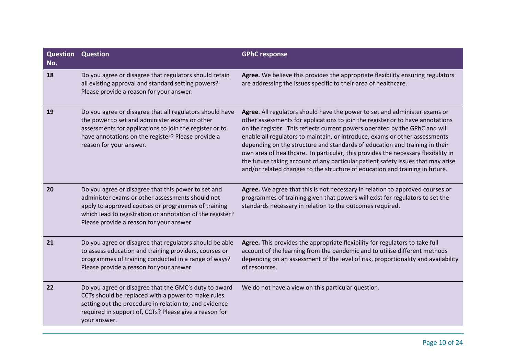| <b>Question Question</b><br>No. |                                                                                                                                                                                                                                                                         | <b>GPhC response</b>                                                                                                                                                                                                                                                                                                                                                                                                                                                                                                                                                                                                                                               |
|---------------------------------|-------------------------------------------------------------------------------------------------------------------------------------------------------------------------------------------------------------------------------------------------------------------------|--------------------------------------------------------------------------------------------------------------------------------------------------------------------------------------------------------------------------------------------------------------------------------------------------------------------------------------------------------------------------------------------------------------------------------------------------------------------------------------------------------------------------------------------------------------------------------------------------------------------------------------------------------------------|
| 18                              | Do you agree or disagree that regulators should retain<br>all existing approval and standard setting powers?<br>Please provide a reason for your answer.                                                                                                                | Agree. We believe this provides the appropriate flexibility ensuring regulators<br>are addressing the issues specific to their area of healthcare.                                                                                                                                                                                                                                                                                                                                                                                                                                                                                                                 |
| 19                              | Do you agree or disagree that all regulators should have<br>the power to set and administer exams or other<br>assessments for applications to join the register or to<br>have annotations on the register? Please provide a<br>reason for your answer.                  | Agree. All regulators should have the power to set and administer exams or<br>other assessments for applications to join the register or to have annotations<br>on the register. This reflects current powers operated by the GPhC and will<br>enable all regulators to maintain, or introduce, exams or other assessments<br>depending on the structure and standards of education and training in their<br>own area of healthcare. In particular, this provides the necessary flexibility in<br>the future taking account of any particular patient safety issues that may arise<br>and/or related changes to the structure of education and training in future. |
| 20                              | Do you agree or disagree that this power to set and<br>administer exams or other assessments should not<br>apply to approved courses or programmes of training<br>which lead to registration or annotation of the register?<br>Please provide a reason for your answer. | Agree. We agree that this is not necessary in relation to approved courses or<br>programmes of training given that powers will exist for regulators to set the<br>standards necessary in relation to the outcomes required.                                                                                                                                                                                                                                                                                                                                                                                                                                        |
| 21                              | Do you agree or disagree that regulators should be able<br>to assess education and training providers, courses or<br>programmes of training conducted in a range of ways?<br>Please provide a reason for your answer.                                                   | Agree. This provides the appropriate flexibility for regulators to take full<br>account of the learning from the pandemic and to utilise different methods<br>depending on an assessment of the level of risk, proportionality and availability<br>of resources.                                                                                                                                                                                                                                                                                                                                                                                                   |
| 22                              | Do you agree or disagree that the GMC's duty to award<br>CCTs should be replaced with a power to make rules<br>setting out the procedure in relation to, and evidence<br>required in support of, CCTs? Please give a reason for<br>your answer.                         | We do not have a view on this particular question.                                                                                                                                                                                                                                                                                                                                                                                                                                                                                                                                                                                                                 |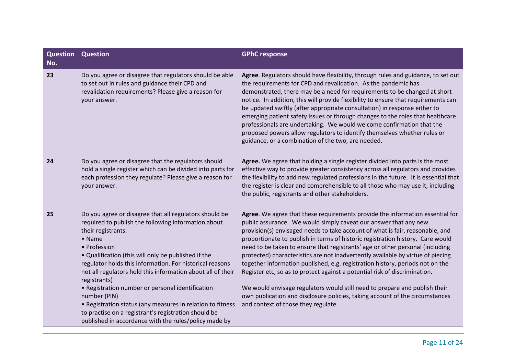| <b>Question Question</b><br>No. |                                                                                                                                                                                                                                                                                                                                                                                                                                                                                                                                                                                                                    | <b>GPhC response</b>                                                                                                                                                                                                                                                                                                                                                                                                                                                                                                                                                                                                                                                                                                                                                                                                                                         |
|---------------------------------|--------------------------------------------------------------------------------------------------------------------------------------------------------------------------------------------------------------------------------------------------------------------------------------------------------------------------------------------------------------------------------------------------------------------------------------------------------------------------------------------------------------------------------------------------------------------------------------------------------------------|--------------------------------------------------------------------------------------------------------------------------------------------------------------------------------------------------------------------------------------------------------------------------------------------------------------------------------------------------------------------------------------------------------------------------------------------------------------------------------------------------------------------------------------------------------------------------------------------------------------------------------------------------------------------------------------------------------------------------------------------------------------------------------------------------------------------------------------------------------------|
| 23                              | Do you agree or disagree that regulators should be able<br>to set out in rules and guidance their CPD and<br>revalidation requirements? Please give a reason for<br>your answer.                                                                                                                                                                                                                                                                                                                                                                                                                                   | Agree. Regulators should have flexibility, through rules and guidance, to set out<br>the requirements for CPD and revalidation. As the pandemic has<br>demonstrated, there may be a need for requirements to be changed at short<br>notice. In addition, this will provide flexibility to ensure that requirements can<br>be updated swiftly (after appropriate consultation) in response either to<br>emerging patient safety issues or through changes to the roles that healthcare<br>professionals are undertaking. We would welcome confirmation that the<br>proposed powers allow regulators to identify themselves whether rules or<br>guidance, or a combination of the two, are needed.                                                                                                                                                             |
| 24                              | Do you agree or disagree that the regulators should<br>hold a single register which can be divided into parts for<br>each profession they regulate? Please give a reason for<br>your answer.                                                                                                                                                                                                                                                                                                                                                                                                                       | Agree. We agree that holding a single register divided into parts is the most<br>effective way to provide greater consistency across all regulators and provides<br>the flexibility to add new regulated professions in the future. It is essential that<br>the register is clear and comprehensible to all those who may use it, including<br>the public, registrants and other stakeholders.                                                                                                                                                                                                                                                                                                                                                                                                                                                               |
| 25                              | Do you agree or disagree that all regulators should be<br>required to publish the following information about<br>their registrants:<br>• Name<br>• Profession<br>. Qualification (this will only be published if the<br>regulator holds this information. For historical reasons<br>not all regulators hold this information about all of their<br>registrants)<br>• Registration number or personal identification<br>number (PIN)<br>• Registration status (any measures in relation to fitness<br>to practise on a registrant's registration should be<br>published in accordance with the rules/policy made by | Agree. We agree that these requirements provide the information essential for<br>public assurance. We would simply caveat our answer that any new<br>provision(s) envisaged needs to take account of what is fair, reasonable, and<br>proportionate to publish in terms of historic registration history. Care would<br>need to be taken to ensure that registrants' age or other personal (including<br>protected) characteristics are not inadvertently available by virtue of piecing<br>together information published, e.g. registration history, periods not on the<br>Register etc, so as to protect against a potential risk of discrimination.<br>We would envisage regulators would still need to prepare and publish their<br>own publication and disclosure policies, taking account of the circumstances<br>and context of those they regulate. |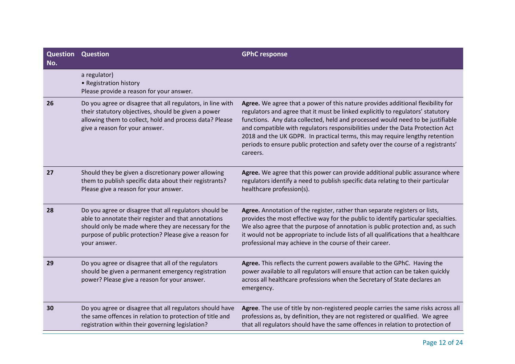| <b>Question Question</b><br>No. |                                                                                                                                                                                                                                                  | <b>GPhC response</b>                                                                                                                                                                                                                                                                                                                                                                                                                                                                                                  |
|---------------------------------|--------------------------------------------------------------------------------------------------------------------------------------------------------------------------------------------------------------------------------------------------|-----------------------------------------------------------------------------------------------------------------------------------------------------------------------------------------------------------------------------------------------------------------------------------------------------------------------------------------------------------------------------------------------------------------------------------------------------------------------------------------------------------------------|
|                                 | a regulator)<br>• Registration history<br>Please provide a reason for your answer.                                                                                                                                                               |                                                                                                                                                                                                                                                                                                                                                                                                                                                                                                                       |
| 26                              | Do you agree or disagree that all regulators, in line with<br>their statutory objectives, should be given a power<br>allowing them to collect, hold and process data? Please<br>give a reason for your answer.                                   | Agree. We agree that a power of this nature provides additional flexibility for<br>regulators and agree that it must be linked explicitly to regulators' statutory<br>functions. Any data collected, held and processed would need to be justifiable<br>and compatible with regulators responsibilities under the Data Protection Act<br>2018 and the UK GDPR. In practical terms, this may require lengthy retention<br>periods to ensure public protection and safety over the course of a registrants'<br>careers. |
| 27                              | Should they be given a discretionary power allowing<br>them to publish specific data about their registrants?<br>Please give a reason for your answer.                                                                                           | Agree. We agree that this power can provide additional public assurance where<br>regulators identify a need to publish specific data relating to their particular<br>healthcare profession(s).                                                                                                                                                                                                                                                                                                                        |
| 28                              | Do you agree or disagree that all regulators should be<br>able to annotate their register and that annotations<br>should only be made where they are necessary for the<br>purpose of public protection? Please give a reason for<br>your answer. | Agree. Annotation of the register, rather than separate registers or lists,<br>provides the most effective way for the public to identify particular specialties.<br>We also agree that the purpose of annotation is public protection and, as such<br>it would not be appropriate to include lists of all qualifications that a healthcare<br>professional may achieve in the course of their career.                                                                                                                |
| 29                              | Do you agree or disagree that all of the regulators<br>should be given a permanent emergency registration<br>power? Please give a reason for your answer.                                                                                        | Agree. This reflects the current powers available to the GPhC. Having the<br>power available to all regulators will ensure that action can be taken quickly<br>across all healthcare professions when the Secretary of State declares an<br>emergency.                                                                                                                                                                                                                                                                |
| 30                              | Do you agree or disagree that all regulators should have<br>the same offences in relation to protection of title and<br>registration within their governing legislation?                                                                         | Agree. The use of title by non-registered people carries the same risks across all<br>professions as, by definition, they are not registered or qualified. We agree<br>that all regulators should have the same offences in relation to protection of                                                                                                                                                                                                                                                                 |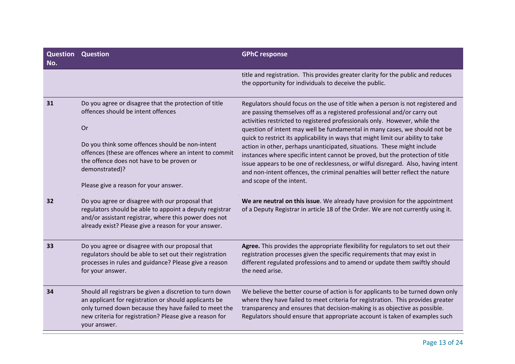| <b>Question Question</b><br>No. |                                                                                                                                                                                                                                                                                                                        | <b>GPhC response</b>                                                                                                                                                                                                                                                                                                                                                                                                                                                                                                                                                                                                                                                                                                                                                       |
|---------------------------------|------------------------------------------------------------------------------------------------------------------------------------------------------------------------------------------------------------------------------------------------------------------------------------------------------------------------|----------------------------------------------------------------------------------------------------------------------------------------------------------------------------------------------------------------------------------------------------------------------------------------------------------------------------------------------------------------------------------------------------------------------------------------------------------------------------------------------------------------------------------------------------------------------------------------------------------------------------------------------------------------------------------------------------------------------------------------------------------------------------|
|                                 |                                                                                                                                                                                                                                                                                                                        | title and registration. This provides greater clarity for the public and reduces<br>the opportunity for individuals to deceive the public.                                                                                                                                                                                                                                                                                                                                                                                                                                                                                                                                                                                                                                 |
| 31                              | Do you agree or disagree that the protection of title<br>offences should be intent offences<br>Or<br>Do you think some offences should be non-intent<br>offences (these are offences where an intent to commit<br>the offence does not have to be proven or<br>demonstrated)?<br>Please give a reason for your answer. | Regulators should focus on the use of title when a person is not registered and<br>are passing themselves off as a registered professional and/or carry out<br>activities restricted to registered professionals only. However, while the<br>question of intent may well be fundamental in many cases, we should not be<br>quick to restrict its applicability in ways that might limit our ability to take<br>action in other, perhaps unanticipated, situations. These might include<br>instances where specific intent cannot be proved, but the protection of title<br>issue appears to be one of recklessness, or wilful disregard. Also, having intent<br>and non-intent offences, the criminal penalties will better reflect the nature<br>and scope of the intent. |
| 32                              | Do you agree or disagree with our proposal that<br>regulators should be able to appoint a deputy registrar<br>and/or assistant registrar, where this power does not<br>already exist? Please give a reason for your answer.                                                                                            | We are neutral on this issue. We already have provision for the appointment<br>of a Deputy Registrar in article 18 of the Order. We are not currently using it.                                                                                                                                                                                                                                                                                                                                                                                                                                                                                                                                                                                                            |
| 33                              | Do you agree or disagree with our proposal that<br>regulators should be able to set out their registration<br>processes in rules and guidance? Please give a reason<br>for your answer.                                                                                                                                | Agree. This provides the appropriate flexibility for regulators to set out their<br>registration processes given the specific requirements that may exist in<br>different regulated professions and to amend or update them swiftly should<br>the need arise.                                                                                                                                                                                                                                                                                                                                                                                                                                                                                                              |
| 34                              | Should all registrars be given a discretion to turn down<br>an applicant for registration or should applicants be<br>only turned down because they have failed to meet the<br>new criteria for registration? Please give a reason for<br>your answer.                                                                  | We believe the better course of action is for applicants to be turned down only<br>where they have failed to meet criteria for registration. This provides greater<br>transparency and ensures that decision-making is as objective as possible.<br>Regulators should ensure that appropriate account is taken of examples such                                                                                                                                                                                                                                                                                                                                                                                                                                            |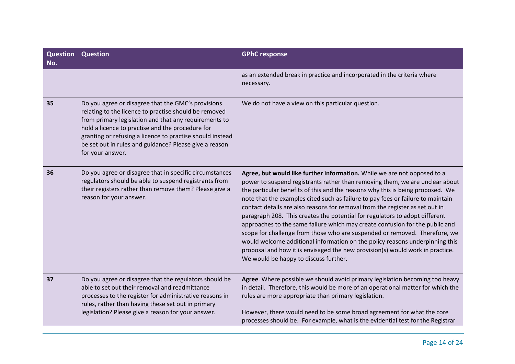| <b>Question Question</b><br>No. |                                                                                                                                                                                                                                                                                                                                                                     | <b>GPhC response</b>                                                                                                                                                                                                                                                                                                                                                                                                                                                                                                                                                                                                                                                                                                                                                                                                                                                 |
|---------------------------------|---------------------------------------------------------------------------------------------------------------------------------------------------------------------------------------------------------------------------------------------------------------------------------------------------------------------------------------------------------------------|----------------------------------------------------------------------------------------------------------------------------------------------------------------------------------------------------------------------------------------------------------------------------------------------------------------------------------------------------------------------------------------------------------------------------------------------------------------------------------------------------------------------------------------------------------------------------------------------------------------------------------------------------------------------------------------------------------------------------------------------------------------------------------------------------------------------------------------------------------------------|
|                                 |                                                                                                                                                                                                                                                                                                                                                                     | as an extended break in practice and incorporated in the criteria where<br>necessary.                                                                                                                                                                                                                                                                                                                                                                                                                                                                                                                                                                                                                                                                                                                                                                                |
| 35                              | Do you agree or disagree that the GMC's provisions<br>relating to the licence to practise should be removed<br>from primary legislation and that any requirements to<br>hold a licence to practise and the procedure for<br>granting or refusing a licence to practise should instead<br>be set out in rules and guidance? Please give a reason<br>for your answer. | We do not have a view on this particular question.                                                                                                                                                                                                                                                                                                                                                                                                                                                                                                                                                                                                                                                                                                                                                                                                                   |
| 36                              | Do you agree or disagree that in specific circumstances<br>regulators should be able to suspend registrants from<br>their registers rather than remove them? Please give a<br>reason for your answer.                                                                                                                                                               | Agree, but would like further information. While we are not opposed to a<br>power to suspend registrants rather than removing them, we are unclear about<br>the particular benefits of this and the reasons why this is being proposed. We<br>note that the examples cited such as failure to pay fees or failure to maintain<br>contact details are also reasons for removal from the register as set out in<br>paragraph 208. This creates the potential for regulators to adopt different<br>approaches to the same failure which may create confusion for the public and<br>scope for challenge from those who are suspended or removed. Therefore, we<br>would welcome additional information on the policy reasons underpinning this<br>proposal and how it is envisaged the new provision(s) would work in practice.<br>We would be happy to discuss further. |
| 37                              | Do you agree or disagree that the regulators should be<br>able to set out their removal and readmittance<br>processes to the register for administrative reasons in<br>rules, rather than having these set out in primary<br>legislation? Please give a reason for your answer.                                                                                     | Agree. Where possible we should avoid primary legislation becoming too heavy<br>in detail. Therefore, this would be more of an operational matter for which the<br>rules are more appropriate than primary legislation.<br>However, there would need to be some broad agreement for what the core<br>processes should be. For example, what is the evidential test for the Registrar                                                                                                                                                                                                                                                                                                                                                                                                                                                                                 |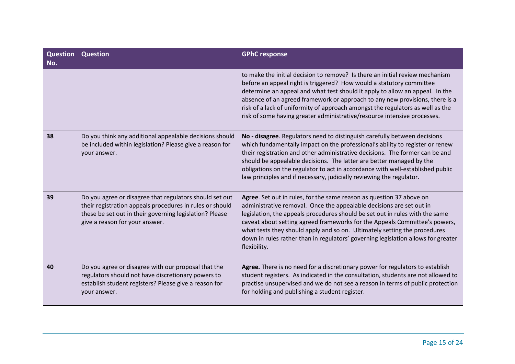| Question<br>No. | <b>Question</b>                                                                                                                                                                                                  | <b>GPhC response</b>                                                                                                                                                                                                                                                                                                                                                                                                                                                                         |
|-----------------|------------------------------------------------------------------------------------------------------------------------------------------------------------------------------------------------------------------|----------------------------------------------------------------------------------------------------------------------------------------------------------------------------------------------------------------------------------------------------------------------------------------------------------------------------------------------------------------------------------------------------------------------------------------------------------------------------------------------|
|                 |                                                                                                                                                                                                                  | to make the initial decision to remove? Is there an initial review mechanism<br>before an appeal right is triggered? How would a statutory committee<br>determine an appeal and what test should it apply to allow an appeal. In the<br>absence of an agreed framework or approach to any new provisions, there is a<br>risk of a lack of uniformity of approach amongst the regulators as well as the<br>risk of some having greater administrative/resource intensive processes.           |
| 38              | Do you think any additional appealable decisions should<br>be included within legislation? Please give a reason for<br>your answer.                                                                              | No - disagree. Regulators need to distinguish carefully between decisions<br>which fundamentally impact on the professional's ability to register or renew<br>their registration and other administrative decisions. The former can be and<br>should be appealable decisions. The latter are better managed by the<br>obligations on the regulator to act in accordance with well-established public<br>law principles and if necessary, judicially reviewing the regulator.                 |
| 39              | Do you agree or disagree that regulators should set out<br>their registration appeals procedures in rules or should<br>these be set out in their governing legislation? Please<br>give a reason for your answer. | Agree. Set out in rules, for the same reason as question 37 above on<br>administrative removal. Once the appealable decisions are set out in<br>legislation, the appeals procedures should be set out in rules with the same<br>caveat about setting agreed frameworks for the Appeals Committee's powers,<br>what tests they should apply and so on. Ultimately setting the procedures<br>down in rules rather than in regulators' governing legislation allows for greater<br>flexibility. |
| 40              | Do you agree or disagree with our proposal that the<br>regulators should not have discretionary powers to<br>establish student registers? Please give a reason for<br>your answer.                               | Agree. There is no need for a discretionary power for regulators to establish<br>student registers. As indicated in the consultation, students are not allowed to<br>practise unsupervised and we do not see a reason in terms of public protection<br>for holding and publishing a student register.                                                                                                                                                                                        |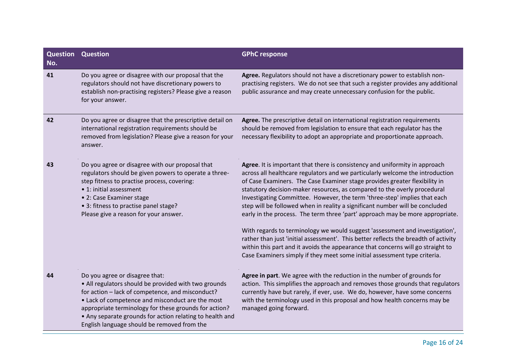| <b>Question Question</b><br>No. |                                                                                                                                                                                                                                                                                                                                                                    | <b>GPhC response</b>                                                                                                                                                                                                                                                                                                                                                                                                                                                                                                                                                                                                                                                                                                                                                                                                                                                                                        |
|---------------------------------|--------------------------------------------------------------------------------------------------------------------------------------------------------------------------------------------------------------------------------------------------------------------------------------------------------------------------------------------------------------------|-------------------------------------------------------------------------------------------------------------------------------------------------------------------------------------------------------------------------------------------------------------------------------------------------------------------------------------------------------------------------------------------------------------------------------------------------------------------------------------------------------------------------------------------------------------------------------------------------------------------------------------------------------------------------------------------------------------------------------------------------------------------------------------------------------------------------------------------------------------------------------------------------------------|
| 41                              | Do you agree or disagree with our proposal that the<br>regulators should not have discretionary powers to<br>establish non-practising registers? Please give a reason<br>for your answer.                                                                                                                                                                          | Agree. Regulators should not have a discretionary power to establish non-<br>practising registers. We do not see that such a register provides any additional<br>public assurance and may create unnecessary confusion for the public.                                                                                                                                                                                                                                                                                                                                                                                                                                                                                                                                                                                                                                                                      |
| 42                              | Do you agree or disagree that the prescriptive detail on<br>international registration requirements should be<br>removed from legislation? Please give a reason for your<br>answer.                                                                                                                                                                                | Agree. The prescriptive detail on international registration requirements<br>should be removed from legislation to ensure that each regulator has the<br>necessary flexibility to adopt an appropriate and proportionate approach.                                                                                                                                                                                                                                                                                                                                                                                                                                                                                                                                                                                                                                                                          |
| 43                              | Do you agree or disagree with our proposal that<br>regulators should be given powers to operate a three-<br>step fitness to practise process, covering:<br>• 1: initial assessment<br>• 2: Case Examiner stage<br>• 3: fitness to practise panel stage?<br>Please give a reason for your answer.                                                                   | Agree. It is important that there is consistency and uniformity in approach<br>across all healthcare regulators and we particularly welcome the introduction<br>of Case Examiners. The Case Examiner stage provides greater flexibility in<br>statutory decision-maker resources, as compared to the overly procedural<br>Investigating Committee. However, the term 'three-step' implies that each<br>step will be followed when in reality a significant number will be concluded<br>early in the process. The term three 'part' approach may be more appropriate.<br>With regards to terminology we would suggest 'assessment and investigation',<br>rather than just 'initial assessment'. This better reflects the breadth of activity<br>within this part and it avoids the appearance that concerns will go straight to<br>Case Examiners simply if they meet some initial assessment type criteria. |
| 44                              | Do you agree or disagree that:<br>• All regulators should be provided with two grounds<br>for action - lack of competence, and misconduct?<br>• Lack of competence and misconduct are the most<br>appropriate terminology for these grounds for action?<br>• Any separate grounds for action relating to health and<br>English language should be removed from the | Agree in part. We agree with the reduction in the number of grounds for<br>action. This simplifies the approach and removes those grounds that regulators<br>currently have but rarely, if ever, use. We do, however, have some concerns<br>with the terminology used in this proposal and how health concerns may be<br>managed going forward.                                                                                                                                                                                                                                                                                                                                                                                                                                                                                                                                                             |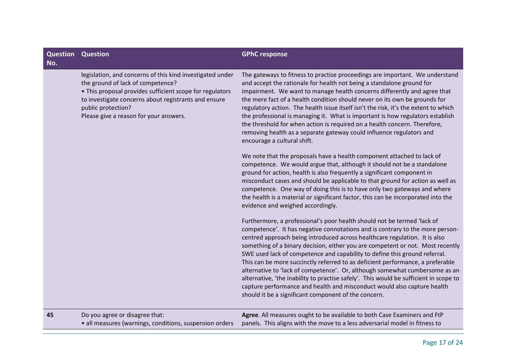| No. | <b>Question Question</b>                                                                                                                                                                                                                                                           | <b>GPhC response</b>                                                                                                                                                                                                                                                                                                                                                                                                                                                                                                                                                                                                                                                                                                                                                                                |
|-----|------------------------------------------------------------------------------------------------------------------------------------------------------------------------------------------------------------------------------------------------------------------------------------|-----------------------------------------------------------------------------------------------------------------------------------------------------------------------------------------------------------------------------------------------------------------------------------------------------------------------------------------------------------------------------------------------------------------------------------------------------------------------------------------------------------------------------------------------------------------------------------------------------------------------------------------------------------------------------------------------------------------------------------------------------------------------------------------------------|
|     | legislation, and concerns of this kind investigated under<br>the ground of lack of competence?<br>• This proposal provides sufficient scope for regulators<br>to investigate concerns about registrants and ensure<br>public protection?<br>Please give a reason for your answers. | The gateways to fitness to practise proceedings are important. We understand<br>and accept the rationale for health not being a standalone ground for<br>impairment. We want to manage health concerns differently and agree that<br>the mere fact of a health condition should never on its own be grounds for<br>regulatory action. The health issue itself isn't the risk, it's the extent to which<br>the professional is managing it. What is important is how regulators establish<br>the threshold for when action is required on a health concern. Therefore,<br>removing health as a separate gateway could influence regulators and<br>encourage a cultural shift.                                                                                                                        |
|     |                                                                                                                                                                                                                                                                                    | We note that the proposals have a health component attached to lack of<br>competence. We would argue that, although it should not be a standalone<br>ground for action, health is also frequently a significant component in<br>misconduct cases and should be applicable to that ground for action as well as<br>competence. One way of doing this is to have only two gateways and where<br>the health is a material or significant factor, this can be incorporated into the<br>evidence and weighed accordingly.                                                                                                                                                                                                                                                                                |
|     |                                                                                                                                                                                                                                                                                    | Furthermore, a professional's poor health should not be termed 'lack of<br>competence'. It has negative connotations and is contrary to the more person-<br>centred approach being introduced across healthcare regulation. It is also<br>something of a binary decision, either you are competent or not. Most recently<br>SWE used lack of competence and capability to define this ground referral.<br>This can be more succinctly referred to as deficient performance, a preferable<br>alternative to 'lack of competence'. Or, although somewhat cumbersome as an<br>alternative, 'the inability to practise safely'. This would be sufficient in scope to<br>capture performance and health and misconduct would also capture health<br>should it be a significant component of the concern. |
| 45  | Do you agree or disagree that:<br>• all measures (warnings, conditions, suspension orders                                                                                                                                                                                          | Agree. All measures ought to be available to both Case Examiners and FtP<br>panels. This aligns with the move to a less adversarial model in fitness to                                                                                                                                                                                                                                                                                                                                                                                                                                                                                                                                                                                                                                             |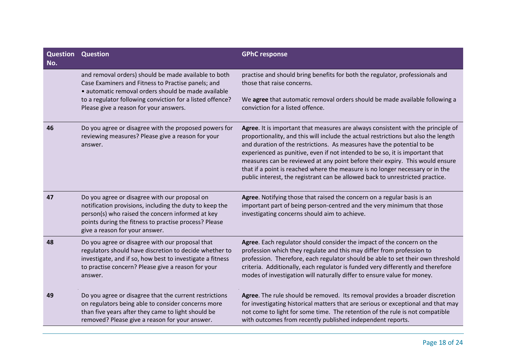| <b>Question Question</b><br>No. |                                                                                                                                                                                                                                                                          | <b>GPhC response</b>                                                                                                                                                                                                                                                                                                                                                                                                                                                                                                                                                               |
|---------------------------------|--------------------------------------------------------------------------------------------------------------------------------------------------------------------------------------------------------------------------------------------------------------------------|------------------------------------------------------------------------------------------------------------------------------------------------------------------------------------------------------------------------------------------------------------------------------------------------------------------------------------------------------------------------------------------------------------------------------------------------------------------------------------------------------------------------------------------------------------------------------------|
|                                 | and removal orders) should be made available to both<br>Case Examiners and Fitness to Practise panels; and<br>· automatic removal orders should be made available<br>to a regulator following conviction for a listed offence?<br>Please give a reason for your answers. | practise and should bring benefits for both the regulator, professionals and<br>those that raise concerns.<br>We agree that automatic removal orders should be made available following a<br>conviction for a listed offence.                                                                                                                                                                                                                                                                                                                                                      |
| 46                              | Do you agree or disagree with the proposed powers for<br>reviewing measures? Please give a reason for your<br>answer.                                                                                                                                                    | Agree. It is important that measures are always consistent with the principle of<br>proportionality, and this will include the actual restrictions but also the length<br>and duration of the restrictions. As measures have the potential to be<br>experienced as punitive, even if not intended to be so, it is important that<br>measures can be reviewed at any point before their expiry. This would ensure<br>that if a point is reached where the measure is no longer necessary or in the<br>public interest, the registrant can be allowed back to unrestricted practice. |
| 47                              | Do you agree or disagree with our proposal on<br>notification provisions, including the duty to keep the<br>person(s) who raised the concern informed at key<br>points during the fitness to practise process? Please<br>give a reason for your answer.                  | Agree. Notifying those that raised the concern on a regular basis is an<br>important part of being person-centred and the very minimum that those<br>investigating concerns should aim to achieve.                                                                                                                                                                                                                                                                                                                                                                                 |
| 48                              | Do you agree or disagree with our proposal that<br>regulators should have discretion to decide whether to<br>investigate, and if so, how best to investigate a fitness<br>to practise concern? Please give a reason for your<br>answer.                                  | Agree. Each regulator should consider the impact of the concern on the<br>profession which they regulate and this may differ from profession to<br>profession. Therefore, each regulator should be able to set their own threshold<br>criteria. Additionally, each regulator is funded very differently and therefore<br>modes of investigation will naturally differ to ensure value for money.                                                                                                                                                                                   |
| 49                              | Do you agree or disagree that the current restrictions<br>on regulators being able to consider concerns more<br>than five years after they came to light should be<br>removed? Please give a reason for your answer.                                                     | Agree. The rule should be removed. Its removal provides a broader discretion<br>for investigating historical matters that are serious or exceptional and that may<br>not come to light for some time. The retention of the rule is not compatible<br>with outcomes from recently published independent reports.                                                                                                                                                                                                                                                                    |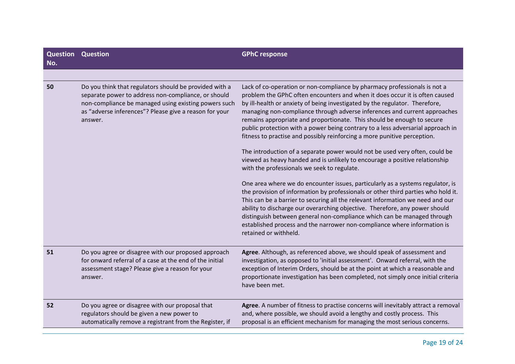| <b>Question Question</b><br>No. |                                                                                                                                                                                                                                            | <b>GPhC response</b>                                                                                                                                                                                                                                                                                                                                                                                                                                                                                                                                                                                                                                                                                                                                                                                                                                                                                                                                                                                                                                                                                                                                                                                                                                                      |
|---------------------------------|--------------------------------------------------------------------------------------------------------------------------------------------------------------------------------------------------------------------------------------------|---------------------------------------------------------------------------------------------------------------------------------------------------------------------------------------------------------------------------------------------------------------------------------------------------------------------------------------------------------------------------------------------------------------------------------------------------------------------------------------------------------------------------------------------------------------------------------------------------------------------------------------------------------------------------------------------------------------------------------------------------------------------------------------------------------------------------------------------------------------------------------------------------------------------------------------------------------------------------------------------------------------------------------------------------------------------------------------------------------------------------------------------------------------------------------------------------------------------------------------------------------------------------|
|                                 |                                                                                                                                                                                                                                            |                                                                                                                                                                                                                                                                                                                                                                                                                                                                                                                                                                                                                                                                                                                                                                                                                                                                                                                                                                                                                                                                                                                                                                                                                                                                           |
| 50                              | Do you think that regulators should be provided with a<br>separate power to address non-compliance, or should<br>non-compliance be managed using existing powers such<br>as "adverse inferences"? Please give a reason for your<br>answer. | Lack of co-operation or non-compliance by pharmacy professionals is not a<br>problem the GPhC often encounters and when it does occur it is often caused<br>by ill-health or anxiety of being investigated by the regulator. Therefore,<br>managing non-compliance through adverse inferences and current approaches<br>remains appropriate and proportionate. This should be enough to secure<br>public protection with a power being contrary to a less adversarial approach in<br>fitness to practise and possibly reinforcing a more punitive perception.<br>The introduction of a separate power would not be used very often, could be<br>viewed as heavy handed and is unlikely to encourage a positive relationship<br>with the professionals we seek to regulate.<br>One area where we do encounter issues, particularly as a systems regulator, is<br>the provision of information by professionals or other third parties who hold it.<br>This can be a barrier to securing all the relevant information we need and our<br>ability to discharge our overarching objective. Therefore, any power should<br>distinguish between general non-compliance which can be managed through<br>established process and the narrower non-compliance where information is |
|                                 |                                                                                                                                                                                                                                            | retained or withheld.                                                                                                                                                                                                                                                                                                                                                                                                                                                                                                                                                                                                                                                                                                                                                                                                                                                                                                                                                                                                                                                                                                                                                                                                                                                     |
| 51                              | Do you agree or disagree with our proposed approach<br>for onward referral of a case at the end of the initial<br>assessment stage? Please give a reason for your<br>answer.                                                               | Agree. Although, as referenced above, we should speak of assessment and<br>investigation, as opposed to 'initial assessment'. Onward referral, with the<br>exception of Interim Orders, should be at the point at which a reasonable and<br>proportionate investigation has been completed, not simply once initial criteria<br>have been met.                                                                                                                                                                                                                                                                                                                                                                                                                                                                                                                                                                                                                                                                                                                                                                                                                                                                                                                            |
| 52                              | Do you agree or disagree with our proposal that<br>regulators should be given a new power to<br>automatically remove a registrant from the Register, if                                                                                    | Agree. A number of fitness to practise concerns will inevitably attract a removal<br>and, where possible, we should avoid a lengthy and costly process. This<br>proposal is an efficient mechanism for managing the most serious concerns.                                                                                                                                                                                                                                                                                                                                                                                                                                                                                                                                                                                                                                                                                                                                                                                                                                                                                                                                                                                                                                |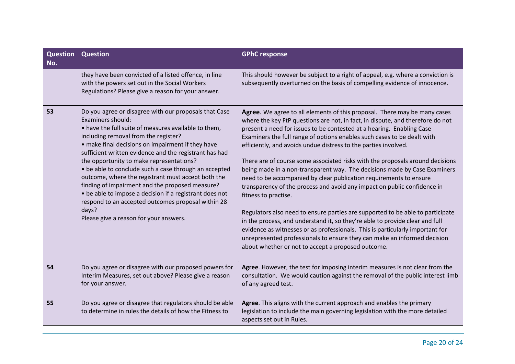| <b>Question Question</b><br>No. |                                                                                                                                                                                                                                                                                                                                                                                                                                                                                                                                                                                                                                                                             | <b>GPhC response</b>                                                                                                                                                                                                                                                                                                                                                                                                                                                                                                                                                                                                                                                                                                                                                                                                                                                                                                                                                                                                                                                                                            |
|---------------------------------|-----------------------------------------------------------------------------------------------------------------------------------------------------------------------------------------------------------------------------------------------------------------------------------------------------------------------------------------------------------------------------------------------------------------------------------------------------------------------------------------------------------------------------------------------------------------------------------------------------------------------------------------------------------------------------|-----------------------------------------------------------------------------------------------------------------------------------------------------------------------------------------------------------------------------------------------------------------------------------------------------------------------------------------------------------------------------------------------------------------------------------------------------------------------------------------------------------------------------------------------------------------------------------------------------------------------------------------------------------------------------------------------------------------------------------------------------------------------------------------------------------------------------------------------------------------------------------------------------------------------------------------------------------------------------------------------------------------------------------------------------------------------------------------------------------------|
|                                 | they have been convicted of a listed offence, in line<br>with the powers set out in the Social Workers<br>Regulations? Please give a reason for your answer.                                                                                                                                                                                                                                                                                                                                                                                                                                                                                                                | This should however be subject to a right of appeal, e.g. where a conviction is<br>subsequently overturned on the basis of compelling evidence of innocence.                                                                                                                                                                                                                                                                                                                                                                                                                                                                                                                                                                                                                                                                                                                                                                                                                                                                                                                                                    |
| 53                              | Do you agree or disagree with our proposals that Case<br>Examiners should:<br>• have the full suite of measures available to them,<br>including removal from the register?<br>• make final decisions on impairment if they have<br>sufficient written evidence and the registrant has had<br>the opportunity to make representations?<br>• be able to conclude such a case through an accepted<br>outcome, where the registrant must accept both the<br>finding of impairment and the proposed measure?<br>• be able to impose a decision if a registrant does not<br>respond to an accepted outcomes proposal within 28<br>days?<br>Please give a reason for your answers. | Agree. We agree to all elements of this proposal. There may be many cases<br>where the key FtP questions are not, in fact, in dispute, and therefore do not<br>present a need for issues to be contested at a hearing. Enabling Case<br>Examiners the full range of options enables such cases to be dealt with<br>efficiently, and avoids undue distress to the parties involved.<br>There are of course some associated risks with the proposals around decisions<br>being made in a non-transparent way. The decisions made by Case Examiners<br>need to be accompanied by clear publication requirements to ensure<br>transparency of the process and avoid any impact on public confidence in<br>fitness to practise.<br>Regulators also need to ensure parties are supported to be able to participate<br>in the process, and understand it, so they're able to provide clear and full<br>evidence as witnesses or as professionals. This is particularly important for<br>unrepresented professionals to ensure they can make an informed decision<br>about whether or not to accept a proposed outcome. |
| 54                              | Do you agree or disagree with our proposed powers for<br>Interim Measures, set out above? Please give a reason<br>for your answer.                                                                                                                                                                                                                                                                                                                                                                                                                                                                                                                                          | Agree. However, the test for imposing interim measures is not clear from the<br>consultation. We would caution against the removal of the public interest limb<br>of any agreed test.                                                                                                                                                                                                                                                                                                                                                                                                                                                                                                                                                                                                                                                                                                                                                                                                                                                                                                                           |
| 55                              | Do you agree or disagree that regulators should be able<br>to determine in rules the details of how the Fitness to                                                                                                                                                                                                                                                                                                                                                                                                                                                                                                                                                          | Agree. This aligns with the current approach and enables the primary<br>legislation to include the main governing legislation with the more detailed<br>aspects set out in Rules.                                                                                                                                                                                                                                                                                                                                                                                                                                                                                                                                                                                                                                                                                                                                                                                                                                                                                                                               |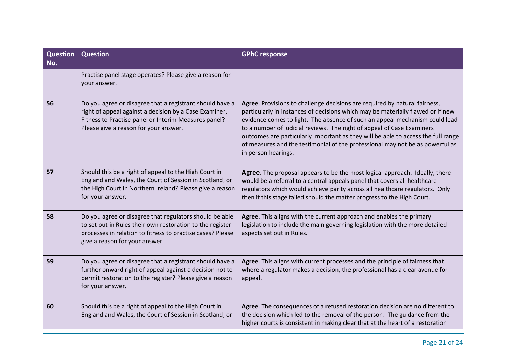| <b>Question Question</b><br>No. |                                                                                                                                                                                                                      | <b>GPhC response</b>                                                                                                                                                                                                                                                                                                                                                                                                                                                                                                |
|---------------------------------|----------------------------------------------------------------------------------------------------------------------------------------------------------------------------------------------------------------------|---------------------------------------------------------------------------------------------------------------------------------------------------------------------------------------------------------------------------------------------------------------------------------------------------------------------------------------------------------------------------------------------------------------------------------------------------------------------------------------------------------------------|
|                                 | Practise panel stage operates? Please give a reason for<br>your answer.                                                                                                                                              |                                                                                                                                                                                                                                                                                                                                                                                                                                                                                                                     |
| 56                              | Do you agree or disagree that a registrant should have a<br>right of appeal against a decision by a Case Examiner,<br>Fitness to Practise panel or Interim Measures panel?<br>Please give a reason for your answer.  | Agree. Provisions to challenge decisions are required by natural fairness,<br>particularly in instances of decisions which may be materially flawed or if new<br>evidence comes to light. The absence of such an appeal mechanism could lead<br>to a number of judicial reviews. The right of appeal of Case Examiners<br>outcomes are particularly important as they will be able to access the full range<br>of measures and the testimonial of the professional may not be as powerful as<br>in person hearings. |
| 57                              | Should this be a right of appeal to the High Court in<br>England and Wales, the Court of Session in Scotland, or<br>the High Court in Northern Ireland? Please give a reason<br>for your answer.                     | Agree. The proposal appears to be the most logical approach. Ideally, there<br>would be a referral to a central appeals panel that covers all healthcare<br>regulators which would achieve parity across all healthcare regulators. Only<br>then if this stage failed should the matter progress to the High Court.                                                                                                                                                                                                 |
| 58                              | Do you agree or disagree that regulators should be able<br>to set out in Rules their own restoration to the register<br>processes in relation to fitness to practise cases? Please<br>give a reason for your answer. | Agree. This aligns with the current approach and enables the primary<br>legislation to include the main governing legislation with the more detailed<br>aspects set out in Rules.                                                                                                                                                                                                                                                                                                                                   |
| 59                              | Do you agree or disagree that a registrant should have a<br>further onward right of appeal against a decision not to<br>permit restoration to the register? Please give a reason<br>for your answer.                 | Agree. This aligns with current processes and the principle of fairness that<br>where a regulator makes a decision, the professional has a clear avenue for<br>appeal.                                                                                                                                                                                                                                                                                                                                              |
| 60                              | Should this be a right of appeal to the High Court in<br>England and Wales, the Court of Session in Scotland, or                                                                                                     | Agree. The consequences of a refused restoration decision are no different to<br>the decision which led to the removal of the person. The guidance from the<br>higher courts is consistent in making clear that at the heart of a restoration                                                                                                                                                                                                                                                                       |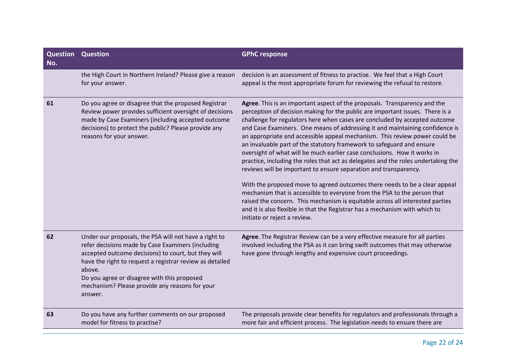| Question<br>No. | <b>Question</b>                                                                                                                                                                                                                                                                                                                                     | <b>GPhC response</b>                                                                                                                                                                                                                                                                                                                                                                                                                                                                                                                                                                                                                                                                                                                                                                                                                                                                                                                                                                                                                                                           |
|-----------------|-----------------------------------------------------------------------------------------------------------------------------------------------------------------------------------------------------------------------------------------------------------------------------------------------------------------------------------------------------|--------------------------------------------------------------------------------------------------------------------------------------------------------------------------------------------------------------------------------------------------------------------------------------------------------------------------------------------------------------------------------------------------------------------------------------------------------------------------------------------------------------------------------------------------------------------------------------------------------------------------------------------------------------------------------------------------------------------------------------------------------------------------------------------------------------------------------------------------------------------------------------------------------------------------------------------------------------------------------------------------------------------------------------------------------------------------------|
|                 | the High Court in Northern Ireland? Please give a reason<br>for your answer.                                                                                                                                                                                                                                                                        | decision is an assessment of fitness to practise. We feel that a High Court<br>appeal is the most appropriate forum for reviewing the refusal to restore.                                                                                                                                                                                                                                                                                                                                                                                                                                                                                                                                                                                                                                                                                                                                                                                                                                                                                                                      |
| 61              | Do you agree or disagree that the proposed Registrar<br>Review power provides sufficient oversight of decisions<br>made by Case Examiners (including accepted outcome<br>decisions) to protect the public? Please provide any<br>reasons for your answer.                                                                                           | Agree. This is an important aspect of the proposals. Transparency and the<br>perception of decision making for the public are important issues. There is a<br>challenge for regulators here when cases are concluded by accepted outcome<br>and Case Examiners. One means of addressing it and maintaining confidence is<br>an appropriate and accessible appeal mechanism. This review power could be<br>an invaluable part of the statutory framework to safeguard and ensure<br>oversight of what will be much earlier case conclusions. How it works in<br>practice, including the roles that act as delegates and the roles undertaking the<br>reviews will be important to ensure separation and transparency.<br>With the proposed move to agreed outcomes there needs to be a clear appeal<br>mechanism that is accessible to everyone from the PSA to the person that<br>raised the concern. This mechanism is equitable across all interested parties<br>and it is also flexible in that the Registrar has a mechanism with which to<br>initiate or reject a review. |
| 62              | Under our proposals, the PSA will not have a right to<br>refer decisions made by Case Examiners (including<br>accepted outcome decisions) to court, but they will<br>have the right to request a registrar review as detailed<br>above.<br>Do you agree or disagree with this proposed<br>mechanism? Please provide any reasons for your<br>answer. | Agree. The Registrar Review can be a very effective measure for all parties<br>involved including the PSA as it can bring swift outcomes that may otherwise<br>have gone through lengthy and expensive court proceedings.                                                                                                                                                                                                                                                                                                                                                                                                                                                                                                                                                                                                                                                                                                                                                                                                                                                      |
| 63              | Do you have any further comments on our proposed<br>model for fitness to practise?                                                                                                                                                                                                                                                                  | The proposals provide clear benefits for regulators and professionals through a<br>more fair and efficient process. The legislation needs to ensure there are                                                                                                                                                                                                                                                                                                                                                                                                                                                                                                                                                                                                                                                                                                                                                                                                                                                                                                                  |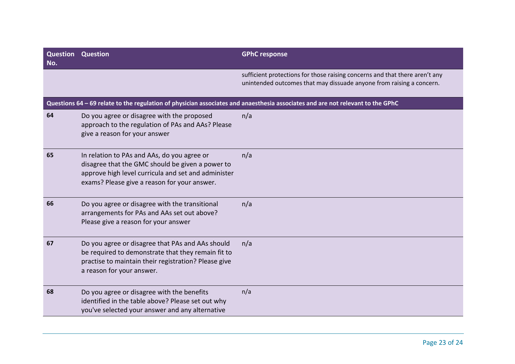| <b>Question</b><br>No. | <b>Question</b>                                                                                                                                                                                        | <b>GPhC response</b>                                                                                                                                |
|------------------------|--------------------------------------------------------------------------------------------------------------------------------------------------------------------------------------------------------|-----------------------------------------------------------------------------------------------------------------------------------------------------|
|                        |                                                                                                                                                                                                        | sufficient protections for those raising concerns and that there aren't any<br>unintended outcomes that may dissuade anyone from raising a concern. |
|                        |                                                                                                                                                                                                        | Questions 64 - 69 relate to the regulation of physician associates and anaesthesia associates and are not relevant to the GPhC                      |
| 64                     | Do you agree or disagree with the proposed<br>approach to the regulation of PAs and AAs? Please<br>give a reason for your answer                                                                       | n/a                                                                                                                                                 |
| 65                     | In relation to PAs and AAs, do you agree or<br>disagree that the GMC should be given a power to<br>approve high level curricula and set and administer<br>exams? Please give a reason for your answer. | n/a                                                                                                                                                 |
| 66                     | Do you agree or disagree with the transitional<br>arrangements for PAs and AAs set out above?<br>Please give a reason for your answer                                                                  | n/a                                                                                                                                                 |
| 67                     | Do you agree or disagree that PAs and AAs should<br>be required to demonstrate that they remain fit to<br>practise to maintain their registration? Please give<br>a reason for your answer.            | n/a                                                                                                                                                 |
| 68                     | Do you agree or disagree with the benefits<br>identified in the table above? Please set out why<br>you've selected your answer and any alternative                                                     | n/a                                                                                                                                                 |